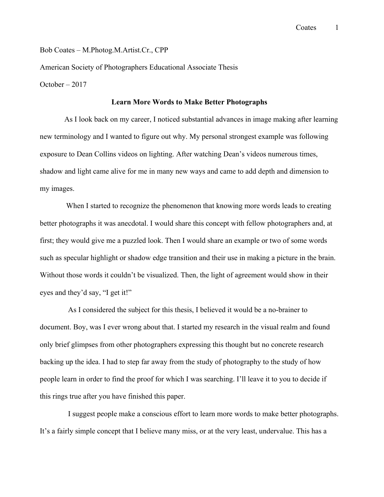Bob Coates – M.Photog.M.Artist.Cr., CPP

American Society of Photographers Educational Associate Thesis

October – 2017

#### **Learn More Words to Make Better Photographs**

 As I look back on my career, I noticed substantial advances in image making after learning new terminology and I wanted to figure out why. My personal strongest example was following exposure to Dean Collins videos on lighting. After watching Dean's videos numerous times, shadow and light came alive for me in many new ways and came to add depth and dimension to my images.

 When I started to recognize the phenomenon that knowing more words leads to creating better photographs it was anecdotal. I would share this concept with fellow photographers and, at first; they would give me a puzzled look. Then I would share an example or two of some words such as specular highlight or shadow edge transition and their use in making a picture in the brain. Without those words it couldn't be visualized. Then, the light of agreement would show in their eyes and they'd say, "I get it!"

As I considered the subject for this thesis, I believed it would be a no-brainer to document. Boy, was I ever wrong about that. I started my research in the visual realm and found only brief glimpses from other photographers expressing this thought but no concrete research backing up the idea. I had to step far away from the study of photography to the study of how people learn in order to find the proof for which I was searching. I'll leave it to you to decide if this rings true after you have finished this paper.

I suggest people make a conscious effort to learn more words to make better photographs. It's a fairly simple concept that I believe many miss, or at the very least, undervalue. This has a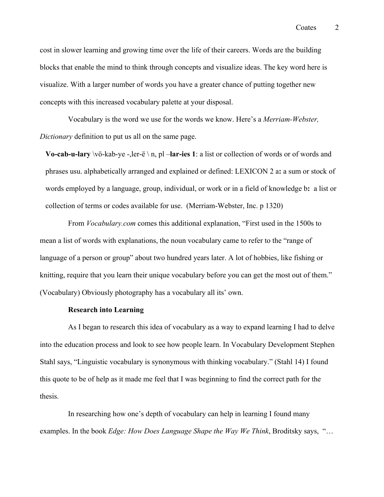cost in slower learning and growing time over the life of their careers. Words are the building blocks that enable the mind to think through concepts and visualize ideas. The key word here is visualize. With a larger number of words you have a greater chance of putting together new concepts with this increased vocabulary palette at your disposal.

Vocabulary is the word we use for the words we know. Here's a *Merriam-Webster, Dictionary* definition to put us all on the same page.

**Vo-cab-u-lary** \vö-kab-ye -,ler-ë \ n, pl –**lar-ies 1**: a list or collection of words or of words and phrases usu. alphabetically arranged and explained or defined: LEXICON 2 a**:** a sum or stock of words employed by a language, group, individual, or work or in a field of knowledge b**:** a list or collection of terms or codes available for use. (Merriam-Webster, Inc. p 1320)

From *Vocabulary.com* comes this additional explanation, "First used in the 1500s to mean a list of words with explanations, the noun vocabulary came to refer to the "range of language of a person or group" about two hundred years later. A lot of hobbies, like fishing or knitting, require that you learn their unique vocabulary before you can get the most out of them." (Vocabulary) Obviously photography has a vocabulary all its' own.

#### **Research into Learning**

As I began to research this idea of vocabulary as a way to expand learning I had to delve into the education process and look to see how people learn. In Vocabulary Development Stephen Stahl says, "Linguistic vocabulary is synonymous with thinking vocabulary." (Stahl 14) I found this quote to be of help as it made me feel that I was beginning to find the correct path for the thesis.

In researching how one's depth of vocabulary can help in learning I found many examples. In the book *Edge: How Does Language Shape the Way We Think*, Broditsky says, "…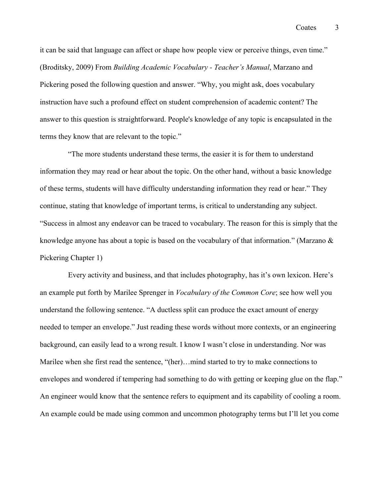it can be said that language can affect or shape how people view or perceive things, even time." (Broditsky, 2009) From *Building Academic Vocabulary - Teacher's Manual*, Marzano and Pickering posed the following question and answer. "Why, you might ask, does vocabulary instruction have such a profound effect on student comprehension of academic content? The answer to this question is straightforward. People's knowledge of any topic is encapsulated in the terms they know that are relevant to the topic."

"The more students understand these terms, the easier it is for them to understand information they may read or hear about the topic. On the other hand, without a basic knowledge of these terms, students will have difficulty understanding information they read or hear." They continue, stating that knowledge of important terms, is critical to understanding any subject. "Success in almost any endeavor can be traced to vocabulary. The reason for this is simply that the knowledge anyone has about a topic is based on the vocabulary of that information." (Marzano & Pickering Chapter 1)

Every activity and business, and that includes photography, has it's own lexicon. Here's an example put forth by Marilee Sprenger in *Vocabulary of the Common Core*; see how well you understand the following sentence. "A ductless split can produce the exact amount of energy needed to temper an envelope." Just reading these words without more contexts, or an engineering background, can easily lead to a wrong result. I know I wasn't close in understanding. Nor was Marilee when she first read the sentence, "(her)...mind started to try to make connections to envelopes and wondered if tempering had something to do with getting or keeping glue on the flap." An engineer would know that the sentence refers to equipment and its capability of cooling a room. An example could be made using common and uncommon photography terms but I'll let you come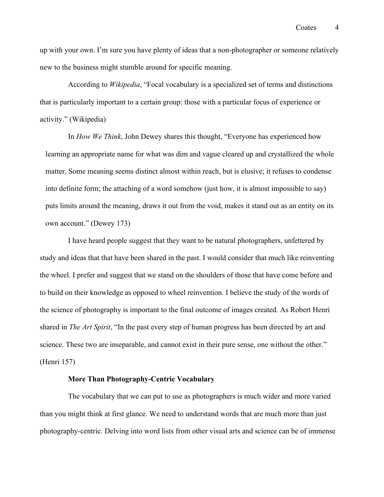up with your own. I'm sure you have plenty of ideas that a non-photographer or someone relatively new to the business might stumble around for specific meaning.

According to *Wikipedia*, "Focal vocabulary is a specialized set of terms and distinctions that is particularly important to a certain group: those with a particular focus of experience or activity." (Wikipedia)

In *How We Think*, John Dewey shares this thought, "Everyone has experienced how learning an appropriate name for what was dim and vague cleared up and crystallized the whole matter. Some meaning seems distinct almost within reach, but is elusive; it refuses to condense into definite form; the attaching of a word somehow (just how, it is almost impossible to say) puts limits around the meaning, draws it out from the void, makes it stand out as an entity on its own account." (Dewey 173)

I have heard people suggest that they want to be natural photographers, unfettered by study and ideas that that have been shared in the past. I would consider that much like reinventing the wheel. I prefer and suggest that we stand on the shoulders of those that have come before and to build on their knowledge as opposed to wheel reinvention. I believe the study of the words of the science of photography is important to the final outcome of images created. As Robert Henri shared in *The Art Spirit*, "In the past every step of human progress has been directed by art and science. These two are inseparable, and cannot exist in their pure sense, one without the other." (Henri 157)

# **More Than Photography-Centric Vocabulary**

The vocabulary that we can put to use as photographers is much wider and more varied than you might think at first glance. We need to understand words that are much more than just photography-centric. Delving into word lists from other visual arts and science can be of immense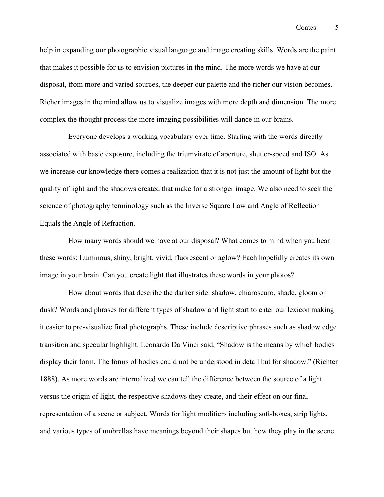help in expanding our photographic visual language and image creating skills. Words are the paint that makes it possible for us to envision pictures in the mind. The more words we have at our disposal, from more and varied sources, the deeper our palette and the richer our vision becomes. Richer images in the mind allow us to visualize images with more depth and dimension. The more complex the thought process the more imaging possibilities will dance in our brains.

Everyone develops a working vocabulary over time. Starting with the words directly associated with basic exposure, including the triumvirate of aperture, shutter-speed and ISO. As we increase our knowledge there comes a realization that it is not just the amount of light but the quality of light and the shadows created that make for a stronger image. We also need to seek the science of photography terminology such as the Inverse Square Law and Angle of Reflection Equals the Angle of Refraction.

How many words should we have at our disposal? What comes to mind when you hear these words: Luminous, shiny, bright, vivid, fluorescent or aglow? Each hopefully creates its own image in your brain. Can you create light that illustrates these words in your photos?

How about words that describe the darker side: shadow, chiaroscuro, shade, gloom or dusk? Words and phrases for different types of shadow and light start to enter our lexicon making it easier to pre-visualize final photographs. These include descriptive phrases such as shadow edge transition and specular highlight. Leonardo Da Vinci said, "Shadow is the means by which bodies display their form. The forms of bodies could not be understood in detail but for shadow." (Richter 1888). As more words are internalized we can tell the difference between the source of a light versus the origin of light, the respective shadows they create, and their effect on our final representation of a scene or subject. Words for light modifiers including soft-boxes, strip lights, and various types of umbrellas have meanings beyond their shapes but how they play in the scene.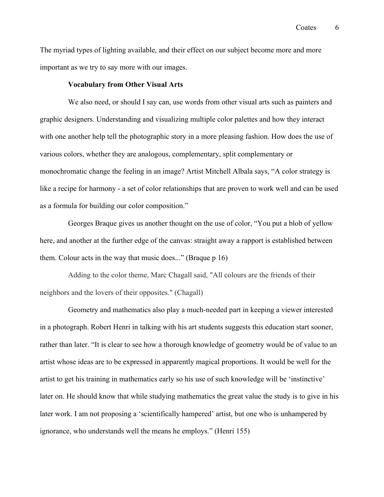The myriad types of lighting available, and their effect on our subject become more and more important as we try to say more with our images.

### **Vocabulary from Other Visual Arts**

We also need, or should I say can, use words from other visual arts such as painters and graphic designers. Understanding and visualizing multiple color palettes and how they interact with one another help tell the photographic story in a more pleasing fashion. How does the use of various colors, whether they are analogous, complementary, split complementary or monochromatic change the feeling in an image? Artist Mitchell Albala says, "A color strategy is like a recipe for harmony - a set of color relationships that are proven to work well and can be used as a formula for building our color composition."

Georges Braque gives us another thought on the use of color, "You put a blob of yellow here, and another at the further edge of the canvas: straight away a rapport is established between them. Colour acts in the way that music does..." (Braque p 16)

Adding to the color theme, Marc Chagall said, "All colours are the friends of their neighbors and the lovers of their opposites." (Chagall)

Geometry and mathematics also play a much-needed part in keeping a viewer interested in a photograph. Robert Henri in talking with his art students suggests this education start sooner, rather than later. "It is clear to see how a thorough knowledge of geometry would be of value to an artist whose ideas are to be expressed in apparently magical proportions. It would be well for the artist to get his training in mathematics early so his use of such knowledge will be 'instinctive' later on. He should know that while studying mathematics the great value the study is to give in his later work. I am not proposing a 'scientifically hampered' artist, but one who is unhampered by ignorance, who understands well the means he employs." (Henri 155)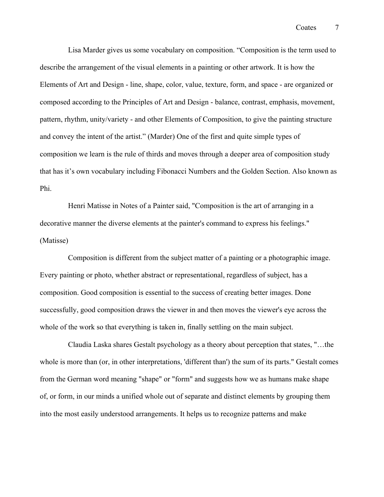Lisa Marder gives us some vocabulary on composition. "Composition is the term used to describe the arrangement of the visual elements in a painting or other artwork. It is how the Elements of Art and Design - line, shape, color, value, texture, form, and space - are organized or composed according to the Principles of Art and Design - balance, contrast, emphasis, movement, pattern, rhythm, unity/variety - and other Elements of Composition, to give the painting structure and convey the intent of the artist." (Marder) One of the first and quite simple types of composition we learn is the rule of thirds and moves through a deeper area of composition study that has it's own vocabulary including Fibonacci Numbers and the Golden Section. Also known as Phi.

Henri Matisse in Notes of a Painter said, "Composition is the art of arranging in a decorative manner the diverse elements at the painter's command to express his feelings." (Matisse)

Composition is different from the subject matter of a painting or a photographic image. Every painting or photo, whether abstract or representational, regardless of subject, has a composition. Good composition is essential to the success of creating better images. Done successfully, good composition draws the viewer in and then moves the viewer's eye across the whole of the work so that everything is taken in, finally settling on the main subject.

Claudia Laska shares Gestalt psychology as a theory about perception that states, "…the whole is more than (or, in other interpretations, 'different than') the sum of its parts." Gestalt comes from the German word meaning "shape" or "form" and suggests how we as humans make shape of, or form, in our minds a unified whole out of separate and distinct elements by grouping them into the most easily understood arrangements. It helps us to recognize patterns and make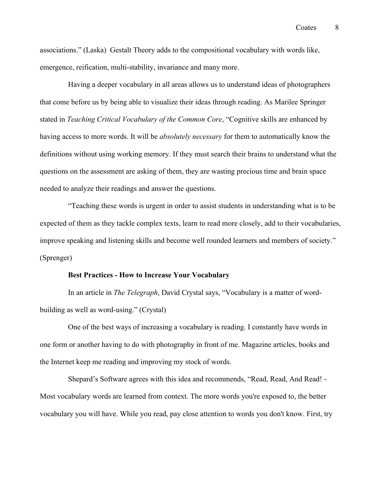associations." (Laska) Gestalt Theory adds to the compositional vocabulary with words like, emergence, reification, multi-stability, invariance and many more.

Having a deeper vocabulary in all areas allows us to understand ideas of photographers that come before us by being able to visualize their ideas through reading. As Marilee Springer stated in *Teaching Critical Vocabulary of the Common Core*, "Cognitive skills are enhanced by having access to more words. It will be *absolutely necessary* for them to automatically know the definitions without using working memory. If they must search their brains to understand what the questions on the assessment are asking of them, they are wasting precious time and brain space needed to analyze their readings and answer the questions.

"Teaching these words is urgent in order to assist students in understanding what is to be expected of them as they tackle complex texts, learn to read more closely, add to their vocabularies, improve speaking and listening skills and become well rounded learners and members of society." (Sprenger)

### **Best Practices - How to Increase Your Vocabulary**

In an article in *The Telegraph*, David Crystal says, "Vocabulary is a matter of wordbuilding as well as word-using." (Crystal)

One of the best ways of increasing a vocabulary is reading. I constantly have words in one form or another having to do with photography in front of me. Magazine articles, books and the Internet keep me reading and improving my stock of words.

Shepard's Software agrees with this idea and recommends, "Read, Read, And Read! - Most vocabulary words are learned from context. The more words you're exposed to, the better vocabulary you will have. While you read, pay close attention to words you don't know. First, try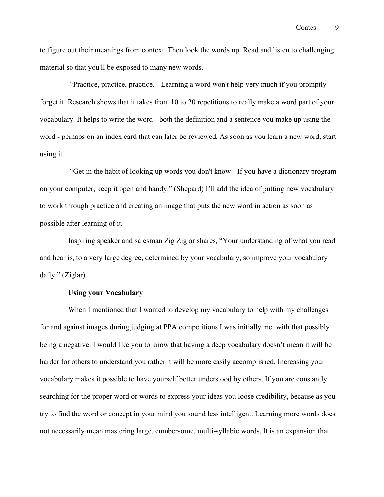to figure out their meanings from context. Then look the words up. Read and listen to challenging material so that you'll be exposed to many new words.

"Practice, practice, practice. - Learning a word won't help very much if you promptly forget it. Research shows that it takes from 10 to 20 repetitions to really make a word part of your vocabulary. It helps to write the word - both the definition and a sentence you make up using the word - perhaps on an index card that can later be reviewed. As soon as you learn a new word, start using it.

"Get in the habit of looking up words you don't know - If you have a dictionary program on your computer, keep it open and handy." (Shepard) I'll add the idea of putting new vocabulary to work through practice and creating an image that puts the new word in action as soon as possible after learning of it.

Inspiring speaker and salesman Zig Ziglar shares, "Your understanding of what you read and hear is, to a very large degree, determined by your vocabulary, so improve your vocabulary daily." (Ziglar)

## **Using your Vocabulary**

When I mentioned that I wanted to develop my vocabulary to help with my challenges for and against images during judging at PPA competitions I was initially met with that possibly being a negative. I would like you to know that having a deep vocabulary doesn't mean it will be harder for others to understand you rather it will be more easily accomplished. Increasing your vocabulary makes it possible to have yourself better understood by others. If you are constantly searching for the proper word or words to express your ideas you loose credibility, because as you try to find the word or concept in your mind you sound less intelligent. Learning more words does not necessarily mean mastering large, cumbersome, multi-syllabic words. It is an expansion that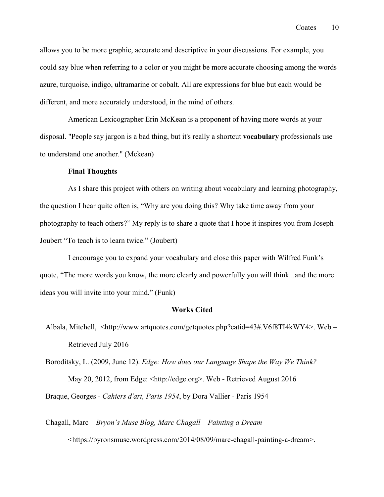allows you to be more graphic, accurate and descriptive in your discussions. For example, you could say blue when referring to a color or you might be more accurate choosing among the words azure, turquoise, indigo, ultramarine or cobalt. All are expressions for blue but each would be different, and more accurately understood, in the mind of others.

American Lexicographer Erin McKean is a proponent of having more words at your disposal. "People say jargon is a bad thing, but it's really a shortcut **vocabulary** professionals use to understand one another." (Mckean)

### **Final Thoughts**

As I share this project with others on writing about vocabulary and learning photography, the question I hear quite often is, "Why are you doing this? Why take time away from your photography to teach others?" My reply is to share a quote that I hope it inspires you from Joseph Joubert "To teach is to learn twice." (Joubert)

I encourage you to expand your vocabulary and close this paper with Wilfred Funk's quote, "The more words you know, the more clearly and powerfully you will think...and the more ideas you will invite into your mind." (Funk)

#### **Works Cited**

Albala, Mitchell, <http://www.artquotes.com/getquotes.php?catid=43#.V6f8TI4kWY4>. Web – Retrieved July 2016

Boroditsky, L. (2009, June 12). *Edge: How does our Language Shape the Way We Think?* May 20, 2012, from Edge: <http://edge.org>. Web - Retrieved August 2016 Braque, Georges - *Cahiers d'art, Paris 1954*, by Dora Vallier - Paris 1954

Chagall, Marc *– Bryon's Muse Blog, Marc Chagall – Painting a Dream* <https://byronsmuse.wordpress.com/2014/08/09/marc-chagall-painting-a-dream>.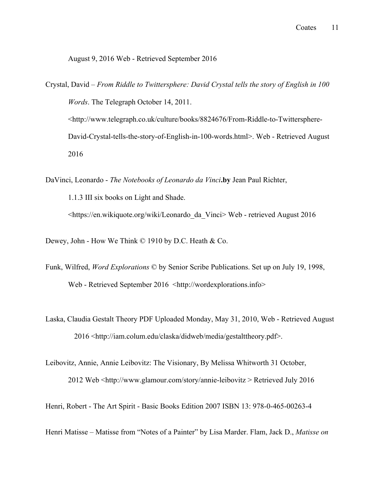### August 9, 2016 Web - Retrieved September 2016

Crystal, David – *From Riddle to Twittersphere: David Crystal tells the story of English in 100 Words*. The Telegraph October 14, 2011. <http://www.telegraph.co.uk/culture/books/8824676/From-Riddle-to-Twittersphere-David-Crystal-tells-the-story-of-English-in-100-words.html>. Web - Retrieved August 2016

DaVinci, Leonardo - *The Notebooks of Leonardo da Vinci***.by** Jean Paul Richter, 1.1.3 III six books on Light and Shade. <https://en.wikiquote.org/wiki/Leonardo\_da\_Vinci> Web - retrieved August 2016

Dewey, John - How We Think © 1910 by D.C. Heath & Co.

- Funk, Wilfred, *Word Explorations* © by Senior Scribe Publications. Set up on July 19, 1998, Web - Retrieved September 2016 <http://wordexplorations.info>
- Laska, Claudia Gestalt Theory PDF Uploaded Monday, May 31, 2010, Web Retrieved August 2016 <http://iam.colum.edu/claska/didweb/media/gestalttheory.pdf>.

Leibovitz, Annie, Annie Leibovitz: The Visionary, By Melissa Whitworth 31 October,

2012 Web <http://www.glamour.com/story/annie-leibovitz > Retrieved July 2016

Henri, Robert - The Art Spirit - Basic Books Edition 2007 ISBN 13: 978-0-465-00263-4

Henri Matisse *–* Matisse from "Notes of a Painter" by Lisa Marder. Flam, Jack D., *Matisse on*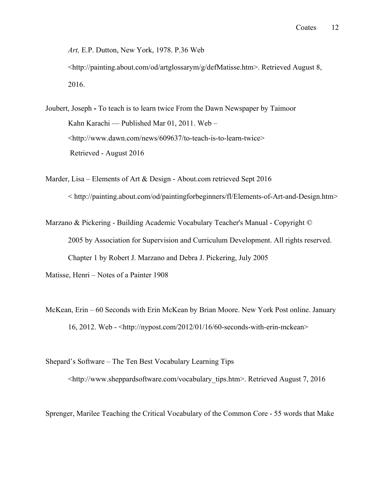*Art,* E.P. Dutton, New York, 1978. P.36 Web

<http://painting.about.com/od/artglossarym/g/defMatisse.htm>. Retrieved August 8, 2016.

Joubert, Joseph **-** To teach is to learn twice From the Dawn Newspaper by Taimoor Kahn Karachi — Published Mar 01, 2011. Web – <http://www.dawn.com/news/609637/to-teach-is-to-learn-twice> Retrieved - August 2016

Marder, Lisa – Elements of Art & Design - About.com retrieved Sept 2016 < http://painting.about.com/od/paintingforbeginners/fl/Elements-of-Art-and-Design.htm>

Marzano & Pickering - Building Academic Vocabulary Teacher's Manual - Copyright © 2005 by Association for Supervision and Curriculum Development. All rights reserved. Chapter 1 by Robert J. Marzano and Debra J. Pickering, July 2005

Matisse, Henri – Notes of a Painter 1908

McKean, Erin – 60 Seconds with Erin McKean by Brian Moore. New York Post online. January 16, 2012. Web - <http://nypost.com/2012/01/16/60-seconds-with-erin-mckean>

Shepard's Software – The Ten Best Vocabulary Learning Tips <http://www.sheppardsoftware.com/vocabulary\_tips.htm>. Retrieved August 7, 2016

Sprenger, Marilee Teaching the Critical Vocabulary of the Common Core - 55 words that Make